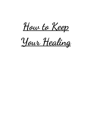How to Keep

Your Healing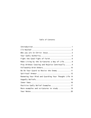## Table of Contents

| Make Living by the Scriptures a Way of Life 8        |
|------------------------------------------------------|
| Pray Without Ceasing and Rejoice Continually 9       |
|                                                      |
| Be On Your Guard to Resist the Enemy  11             |
|                                                      |
| Renewing Your Mind and Guarding Your Thought Life 14 |
|                                                      |
|                                                      |
|                                                      |
|                                                      |
|                                                      |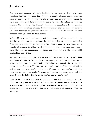## **Introduction**

The aim and purpose of this booklet is to enable those who have received healing, to keep it. You're probably already aware that you have an enemy. Although not visible through our natural eyes, satan is very real and will take advantage where he can. He relies on you not knowing the truth as his biggest strategy is deception. He is cunning and will try to place already healed symptoms back on you, or bombard you with feelings or patterns that the Lord has already healed. If this happens then you need to take action.

We're all in a spiritual battle and the enemy, if allowed, will try to deceive us and rob us - because it is one thing to receive something from God and another to maintain it. People receive healings, as a result of prayer, by other faith filled Christians but once they return home they may be surrounded by doubt and unbelief and the enemy will capitalise upon this.

We need to understand that the nature of the enemy is to 'steal, kill and destroy' John 10:10. He is a trespasser, and will do all he can to stay, so you must use your Godly authority to command him to go. The enemy is crafty he will continue to steal your healing and blessings unless you use your Godly authority. If your car was stolen and then returned to you, you wouldn't carry on leaving the doors open and the keys in the ignition for it to be stolen again, would you?

This is not to make you fearful because 2 Timothy 1:7 teaches us that "God has not given us a spirit of fear, but of power and of love and of a sound mind". Jesus made a 'public spectacle' Colossians 2:15, of the enemy by dying on the cross and as a consequence we operate from His victory!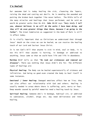## I'm Healed!

Our awesome God is today healing the sick, cleansing the lepers, raising the dead and casting out devils. He is mending the wounded and putting the broken back together like never before. The Bible tells of the many miracles and healings that Jesus performed, and He said we would do greater works than He did. John 14:12 says "Very truly I tell you, whoever believes in me will do the works I have been doing, and they will do even greater things than these, because I am going to the Father". The Great Commission as suggested in the book of Mark is still in effect today.

It is vitally important that as Christians we understand that through Jesus' death on the cross we can be healed, we can receive the healing touch of our Lord and Saviour Jesus Christ.

It is not God's Will that anyone is sick in mind, soul or body, it is not His Will that anyone is hurting, in bondage or addicted to anything, Jesus came so that we could have life and life in abundance.

Matthew 8:17 tells us that "He took our sicknesses and removed our diseases". There was nothing that Jesus didn't die for. The different types of healings are:

Physical Healing: The Body can be healed supernaturally of sickness and infirmities. God being so good even created the body to heal itself in some instances.

Emotional / Inner Healing: Damaged emotions affect how we live; they can also affect our relationship with God and others. Healing is usually needed in areas where there is suffering, pain, worry or fear. Deep wounds caused by painful memories need a healing touch by Jesus.

Spiritual Healing: Someone who's in bondage, habitual sin, or addicted to substances, alcohol, drugs etc. may need deliverance and inner healing.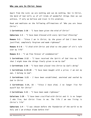#### Who you are In Christ Jesus

Apart from the Lord, we are nothing and can do nothing. But in Christ, the Word of God tells us of all kinds of wonderful things that we can achieve, if only we believe and trust in his promises.

Read and meditate on the following affirmations of 'Who you are Jesus Christ':

1 Corinthians 2:16 – "I have been given the mind of Christ"

Ephesians 1:3 – "I have been blessed with every Spiritual Blessing"

**Romans 5:1** – "Since I am in Christ, by the grace of God I have been justified, completely forgiven and made righteous"

Romans 6-1-6 – "I died with Christ and died to the power of sin's rule over my life"

Romans 8:1 – "I am free forever of condemnation"

1 Corinthians 2:12 - "I have received the Spirit of God into my life that I might know the things freely given to me by God"

1 Corinthians 2:16 – "I have been placed into Christ by God's doing"

1 Corinthians  $6:19.20 - "I$  have been bought with a price; I am not my own, I belong to God".

2 Corinthians 1:21 - I have been established, anointed and sealed by God in Christ

2 Corinthians 5:14, 15 – "Since I have died, I no longer live for myself but for Christ"

2 Corinthians  $5:21 - "I$  have been made righteous"

Galatians 2:20 – "I have been crucified with Christ and it is no longer I who live, but Christ lives in me. The life I am now living is Christ's life"

Ephesians  $1:4 - "I$  was chosen before the foundation of the world to be holy and I am without blame before him"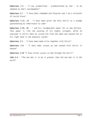Ephesians 1:5 - "I was predestined - predetermined by God - to be adopted as God's son/daughter"

Ephesians 1:7 - "I have been redeemed and forgiven and I am a recipient of Lavish Grace"

Ephesians 1:13, 14 - "I have been given the Holy Spirit as a pledge guaranteeing my inheritance to come"

Ephesians  $1:19$ ,  $20 -$  " and his incomparable power for us who believe. That power is like the working of his mighty strength, which he executed in Christ when he raised him from the dead and seated him at his right hand in the heavenly realms"

Ephesians 2:5 - "I have been made alive together with Christ"

Ephesians 2:6 – "I have been raised up and seated with Christ in heaven"

Ephesians 2:18 "I have direct access to God through the Spirit"

John 4:4 – "The one who is in me is greater than the one who is in the world"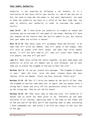#### Your Godly Authority

Authority is not acquired by following a set formula. It is a realisation of who Jesus Christ your Saviour is, and of who you are in Him. You need to know who the enemy is, but more importantly, you need to know the authority you have as a child of the Most High God. You need to enforce your authority in order to overcome the enemy's tactics:

Luke 10:19 - 20 "I have given you authority to trample on snakes and scorpions and to overcome all the power of the enemy. Nothing will harm you, however do not rejoice that the spirits submit to you, but rejoice that your names are written in heaven"

Mark 16:17-18 "And these signs will accompany those who believe: in my name they will drive out demons: they will speak in new tongue, they will pick up snakes with their hands: and when they drink deadly poison, it will not hurt them at all: they will place their hands on sick people, and they will get well"

Luke 9:1 "When Jesus called the Twelve together, he gave them power and authority to drive out all demons and to cure diseases, and he sent them out to preach the kingdom of God and to heal the sick"

Matthew 10:7-8 "As you go, preach this message: "The Kingdom of Heaven is near." Heal the sick, raise the dead, cleanse those who have leprosy, drive out demons. Freely you have received, freely give"

Matthew 12:28 -29 "But if I drive out demons by the Spirit of God, then the kingdom of God has come upon you: Or again, how can anyone enter a strong man's house and carry off his possessions unless he first ties up the strong man. Then he can rob his house"

Matthew 28:28 -30 "Then Jesus came to them and said, "All authority in heaven and on earth has been given to me. Therefore go and make disciples of all nations, baptising them in the name of the Father and of the Son and of the Holy Spirit and teaching them to obey everything I have commanded you. And surely I am with you always to the very end of the age"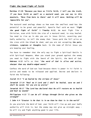#### Fight the Good Fight of Faith

Matthew 17:20 "Because you have so little faith, I tell you the truth, if you have faith as small as a mustard seed, you can say to this mountain, 'Move from here to there' and it will move. Nothing will be impossible for you".

The mustard seed analogy shows us how even the smallest seed has the potential to be great and powerful. Apostle Paul said we must "fight the good fight of faith" 1 Timothy 6:12. We must fight like a Christian, even with faith the size of a mustard seed, to stay healed. You need to rise up in who you are in Jesus Christ, asserting your Godly authority, to tell the enemy that 'Jesus paid the full price on the cross with the blood He shed, and you are not accepting the pain, sickness, symptoms or thoughts back. In the name of Christ Jesus you are keeping your healing.

You have to remember that the only way to fight a Spiritual Battle is with Spiritual Weapons. When you stand your ground against the enemy you need to fight with the Sword of the Spirit, the Word of God. Hebrews 4:12 tells us that "the word of God is alive and active, sharper than any double-edged sword…"

Confess the word of God out loud because there is power in it! Faith is active and needs to be released and applied. Decree and declare in faith the following:

Isaiah 53:5 "I am healed by the stripes of Jesus"

Jeremiah 17:14 "Heal me O Lord and I shall be healed, save me and I shall be saved, for you are my praise"

Jeremiah 30:17 "The Lord has declared that He will restore me to health and heal my wounds"

Philippians 4:13 "I can do all things through Christ who gives me the strength"

1 John 4:4 "Greater is He that is in me than he that is in the world"

As you proclaim the Word of God, your faith will rise up and your Godly authority will kick in, but the enemy may not give up straight away he will try and fight anything good in your life.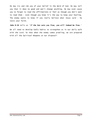He may try and rob you of your belief in the Word of God. He may tell you that it does no good and won't change anything. He may even cause you to forget to read the affirmations or feel as though you don't want to read them – even though you know it's the way to keep your healing. The enemy wants to know if you really believe what Jesus said – he tests your faith.

John 8:36 tells us 'if the Son sets you free, you will indeed be free.'

We all need to develop Godly habits to strengthen us in our daily walk with the Lord. So that when the enemy comes prowling, we are prepared with all the Spiritual Weapons at our disposal!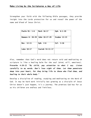## Make Living by the Scriptures a Way of Life

Strengthen your faith with the following Bible passages, they provide insight into the Lords protection for us and reveal the power of the name and blood of Jesus Christ.

| <b>Psalm 91: 1-6</b> | Mark 16:17      | Eph. $6:1-20$  |
|----------------------|-----------------|----------------|
| Romans 8: 28-29      | John 10:27-29   | Exodus $12:23$ |
| Rev. 12:11           | Eph. $2:6$      | Col. 3:16      |
| Luke 10:17           | Isaiah 54:11-17 |                |

Also, remember that God's word does not return void and meditating on scripture is like a healing balm for the soul (mind, will, emotions). Proverbs 4:20-22 "My child, pay attention to what I say. Listen carefully to my words. Don't lose sight of them. Let them penetrate deep into your heart, for they bring life to those who find them, and healing to their whole body."

Develop a discipline of reading, studying and meditating on the Word of God. It may be hard work initially but growing as a disciple of Jesus Christ doesn't just happen, it's a journey. The promises God has for us as his children are endless and limitless.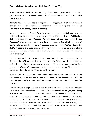## Pray Without Ceasing and Rejoice Continually

1 Thessalonians 5:16-18 states 'Rejoice always, pray without ceasing, give thanks in all circumstances; for this is the will of God in Christ Jesus for you.'

Apostle Paul, in the above scripture, is suggesting that we develop a prayer life which consists of rejoicing, thanksgiving and praying to God about everything, without ceasing.

We are to embrace a lifestyle of praise and rejoice in God who is worth celebrating. He delights in us so we can delight in Him. Philippians 4:4 instructs us to 'Rejoice in the Lord always and again I say Rejoice.' When we rejoice in the Lord we receive Joy which is part of God's nature, and He in turn 'rejoices over us with singing' Zephaniah 3:17. Praising the Lord repels the enemy, fills us with an overwhelming sense of joy and matures us as Christians – make praise and worship your priority!

The second part 'to pray without ceasing' is not referring to us incessantly talking out loud to God all day long, nor is it about us being in a position or posture of prayer. To pray without ceasing is a permanent place of surrender to the Lord; it is being 'God aware' converse with Him as He likes to talk to you.

John 10:3-4 tells us that 'the sheep hear His voice, and he calls His own sheep by name and leads them out. When He has brought out all his own, he goes before them, and the sheep follow him, for they know His voice'.

Prayer should always be our first response in every situation. Apostle Paul told the Colossians 4:2, to 'devote yourselves to prayer, being watchful and thankful.' Therefore, should your thoughts turn to worry, fear or discouragement then you are to take every thought captive and surrender them all to God. We are commanded to rely on the grace of God and not ourselves. Furthermore, give thanks to God for everything, even in trial as this will dislodge the enemy's plans - as he doesn't have much success with thankful men or women.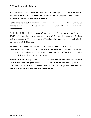## Fellowship With Others

Acts 2:41-47 '…They devoted themselves to the apostles teaching and to the fellowship; to the breaking of bread and to prayer… they continued to meet together in the temple courts…'

Fellowship is about Christians coming together as the body of Christ to praise and worship God, to encourage each other with love, prayer and intercession.

Christian fellowship is a crucial part of our faith journey as Proverbs 27:17 tell us that '*iron sharpens iron.'* We as the body of Christ, being sharper, will become more effective with our families and within our sphere of influence.

We need to praise and worship, we need to dwell in an atmosphere of fellowship, we need the encouragement we receive from our Christian brothers and sisters and more importantly fellowships provide opportunities to love other Christians.

Hebrews 10: 25-25 says 'And let us consider how we may spur one another on towards love and good deeds. Let us not give up meeting together. As some are in the habit of doing, but let us encourage one another and all the more as you see the day approaching'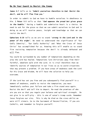#### Be On Your Guard to Resist the Enemy

James 4:7 tells us to 'Submit yourselves therefore to God. Resist the devil, and he will flee from you.'

In order to submit to God we have to humble ourselves in obedience to Him. 1 Peter 5:5 tells us that 'God opposes the proud but gives grace to the humble.' Having a humble and submissive heart is a choice. We need to ask for the grace so that we can submit ourselves to God and in doing so we will receive peace, insight and knowledge so that we can resist the devil.

Ephesians 6:10 tells us we are to stand 'strong in the Lord and in the power of His might'. We need to understand the significance of 'Our Godly Identity', 'Our Godly Authority' and 'What the Cross of Jesus Christ' has accomplished for us. Knowing this will enable us to stand firm resisting temptation because the devil is already defeated and will flee.

You could be surrounded by any number of temptations depending on the area the Lord has healed. Temptations lure Christians away from their faithful, obedient walk with the Lord. It is vital therefore that we identify sources of temptation in our lives so as to avoid situations that may present a problem. If you have areas of weakness seek the Lord for His Grace and Wisdom, He will have the solution to help you overcome.

If the Lord has set you free and you subsequently find yourself in a moment of weakness, unable to resist the temptation, you must immediately confess your failure and take a firm stand once again. Resist the devil and tell him to depart. Re-read the promises of who are you are so that you regain your balance and spiritual strength. Do not give in to self-pity - this is one of satan's trump cards. Remember Jesus forgives our sins. This is why He died on the cross whilst we were still sinners. Go to the Sacrament of Reconciliation, if you are Catholic, and remember to forgive yourself.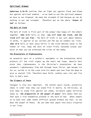### Spiritual Armour

Ephesians 6:10-20 confirms that we fight not against flesh and blood but against spiritual enemies - so we need to use the spiritual weapons we have at our disposal. We need the strength of God because we can do nothing in our own strength. Therefore put on the whole 'Armour of God' as follows:

#### The Belt of Truth

The belt of truth is first part of the armour that keeps all the others together. John 8:32 tells us that 'you will know the truth, and the truth will set you free.' The belt of truth is not just about honesty in words, it applies to our actions and the way we conduct our lives. John 14:6 tells us that Jesus Christ is the truth whereas satan is the father of lies. Keep the belt of truth firmly fastened around your waist so that you can withstand the tricks of the enemy.

#### The Breastplate of Righteousness

An essential part of a soldier's equipment is the breastplate which protects all the vital organs eg the heart and lungs. Apostle Paul wrote that righteousness is the Christian's breastplate. We have automatic righteousness from God through Jesus Christ, who became sin for us, nailed it to the cross with his death and rose from the dead to give us eternal life. Therefore have faith, confess your sins and live holy in God's eyes.

#### The Slippers of Peace

Footgear is also very important. The soldier wears sturdy, protective shoes in order that they can stand firm in battle. As Christians, we also need to stand firm against our enemy. Scripture names Christian shoes as 'the preparation of the gospel of peace' this means than our feet have a firm foundation planted in the word of God. Shoes enable us to walk over some rather difficult ground without any fear, so too does the Gospel of Peace. We can take that peace into every situation in our lives.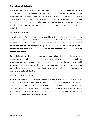#### The Helmet of Salvation

A soldier may be able to withstand some injuries to his body but a blow to the head could be severe. In the same way the Helmet of Salvation is a protective headgear designed to protect the mind: as this is where the enemy attacks and bombards with his lies. Apostle Paul in 1 Thess 5:8 tells us to put on '..the hope of salvation as a helmet' Jesus acquired our salvation on the Cross and He is the hope of our salvation.

#### The Shield of Faith

The shield in Roman Times was typically 2.5ft wide and 4ft tall made with layers of wood, leather trim and bound with rawhide or bronze stiches. The shield was the only manoeuvrable part of a soldier's equipment and it was designed to protect them from arrows or javelins – sometimes the arrows were alight and so the material had to be able to absorb the flame.

Our shield of faith acts in the same way. When the fiery darts of the enemy take flight, they will hit the shield of faith and be extinguished on impact. The enemy wants you in turmoil and will endeavour to tempt you with fears, worries and despairs – we have to stand firm in Jesus who is our faith and extinguish every flaming dart with the shield of faith.

#### The Sword of the Spirit

A sword in itself is a mighty weapon but the Sword of the Spirit is no ordinary sword: it's the Word of God and as we've already discussed its sharper than any double edged sword. The Sword of the Spirit is mightier than any other weapon because it's used in the name of Jesus and powered by the Holy Spirit. Studying, reading and meditating on the Word of God will keep the sword sharp.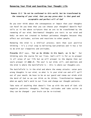## Renewing Your Mind and Guarding Your Thought Life

## Romans 12:2 'Do not be conformed to this world, but be transformed by the renewing of your mind, that you may prove what is that good and acceptable and perfect will of God'

Do you ever think about the consequences or impact that your thoughts can have? Do you know that you can choose your thoughts? Apostle Paul tells us in the above scripture that we are to be transformed by the renewing of our mind. Detrimental thoughts are toxic to our mind and body: we were not created to harbour poisonous thoughts because they affect our attitudes, actions and reactions to other people.

Renewing the mind is a biblical process; more than just positive thinking - it's a vital step to believing God promises and it has a lot to do with our viewpoints and attitudes.

Proverbs 23:7 says, 'For as he thinks in his heart, so is he.' Our thinking sets the course for our lives. God's will is for us to prosper in all areas of our life but we will prosper to the degree that our souls prosper (3 John 2). The soul is our mind, will, and emotions and the mind is where the battlefield is - this is where our thoughts are.

The battlefield is in the mind and where the enemy attacks: satan puts wrong thoughts in our mind, so what is in your mind can and will spill out of your mouth. We have to be on our guard and renew our minds with the Word of God so we can think as He thinks. Transformation happens when we apply God's word to our lives and change our thought patterns.

Take note of anything that doesn't line up with the word of God: old negative patterns: thoughts, feelings, attitudes and take action as they can be changed - your brain can be re-trained.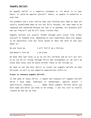## Ungodly Beliefs

An ungodly belief is a negative statement or lie which is in your heart. It could be against yourself, others, or people in authority or even God.

You probably won't even realise that your holding onto them as they are usually established when we are not fully focused. Yet they need to be repented and renounced because our God is so awesome, His greatest gift was our free-will and He will never violate that.

Ungodly beliefs are usually formed through word curses from either yourself or someone else. Depending on your experience they also appear to be absolutely true but false based on what the word of God says about us:

```
No one loves me.<br>I will fail/I am a failure.
```
God doesn't love me I am alone

We know that God loves us as we are His children and we will not fail as we can do all things through Christ who strengthens us. We can't be alone when Jesus said he would neither leave us nor forsake us.

We need to ask the Holy Spirit to reveal any ungodly beliefs we have believed, as well as any negative expectations within us.

#### Prayer to renounce ungodly beliefs:

In the name of Jesus Christ, I repent and renounce all ungodly beliefs which I have made, knowingly or unknowingly, against myself. I specifically renounce......... (Name those ungodly beliefs which you have made and which you know to be wrong). I ask You Lord to totally cleanse me and set me free.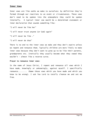#### Inner Vows

Inner vows are like oaths we make to ourselves: by definition they're formed through our reactions to an event or circumstances. These vows don't need to be spoken into the atmosphere they could be spoken internally. A typical inner vow would be a determined statement or inner declaration that sounds something like:

```
"I will never be like her"
```
"I will never trust anyone (or God) again"

"I will never be like …"

"I will never do that"

There is no end to the inner vows we make and they don't expire unless we repent and renounce them. Typically children are more likely to make inner vows because they don't want to grow up to be like their parents, grandparents etc. Ironically they usually become what they vowed they wouldn't - almost like a reverse curse.

#### Prayer to renounce inner vows:

In the name of Jesus Christ, I repent and renounce all vows which I have made, knowingly or unknowingly, against myself. I specifically renounce......... (Name those vows which you have made and which you know to be wrong). I ask You Lord to totally cleanse me and set me free.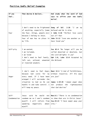# Positive Godly Belief Examples

| If you       | Then decree & declare                               | And study what the word of God                                  |
|--------------|-----------------------------------------------------|-----------------------------------------------------------------|
| fee1         |                                                     | says to affirm your new Godly                                   |
|              |                                                     | belief                                                          |
|              |                                                     |                                                                 |
|              | I don't need to be frightened                       | Song of Sol. $2:16$ "I am                                       |
|              | of anything, especially [name                       | my<br>beloved and He is mine.                                   |
| Fear         | the fear, things, people etc] $ $                   | 1 John 4:18 "Perfect love casts                                 |
|              | because I belong to Jesus.                          | out all fear                                                    |
|              | Fear of man has no place in                         | John 15:12 "Love one another as I                               |
|              | my life.                                            | have loved you"                                                 |
|              |                                                     |                                                                 |
|              |                                                     |                                                                 |
| Self-pity    | I am wanted,                                        | Isa 62:4 "No longer will you be                                 |
|              | I am included,                                      | called deserted or desolate but                                 |
|              | I am loved                                          | the Lord delights in you"                                       |
|              | I don't need to feel lonely,                        | Eph 1:6, Luke 12:8 Accepted by<br>the Beloved.                  |
|              | left out, unloved, unwanted<br>or rejected anymore. |                                                                 |
|              |                                                     |                                                                 |
|              |                                                     |                                                                 |
|              |                                                     | I don't need to feel Angry   Deut 32:4 "A God of faithfulness,  |
|              | God cares for my<br>because                         | without injustice. All His ways                                 |
| Anger        | every need. If I have been are just"                |                                                                 |
|              | wronged I will surrender the                        |                                                                 |
|              | situation to God so He can                          | James 1:19-20 "human anger does                                 |
|              | handle it and take control. I                       | not produce the<br>righteousness                                |
|              | will keep my peace.                                 | that God desires"                                               |
|              |                                                     |                                                                 |
| $Se1f-$      | would<br>Jesus<br>said<br>he<br>not                 | Rom.8:1 "There is no condemnation                               |
| Condemnation |                                                     | condemn me so I won't condemn to them that are in Christ Jesus" |
|              |                                                     | myself. I will refrain from Isa.44:22 "I have swept away your   |
|              | negatively<br>about<br>speaking                     | $sins$ "                                                        |
|              | myself.                                             |                                                                 |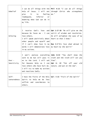| Unbelief                | help of Jesus. I will not<br>feeling<br>give<br>it<br>to<br>inferior<br>inadequate,<br>or<br>doubting what God can do in<br>my life.                                                                                                                                                | I can do all things with the $\text{Phi 4:13 }$ "I can do all things<br>through Christ who strengthens<br>$me.$ "                                                 |
|-------------------------|-------------------------------------------------------------------------------------------------------------------------------------------------------------------------------------------------------------------------------------------------------------------------------------|-------------------------------------------------------------------------------------------------------------------------------------------------------------------|
| Unloving                | receive God's love<br>Ι.<br>because He loves me $-$ I can<br>love others.<br>I will speak positively about   heart so that I know."<br>other people and myself and<br>if I can't show love in my<br>words I will demonstrate love $\vert$ my heart by the Spirit"<br>in my actions. | and Eph 1:17-18 "He will give me the<br>spirit of wisdom and revelation.<br>He will enlighten the eyes of my<br>Rom 5:5"His love shed abroad in                   |
| Over $-$<br>Sensitivity | on to the Lord. I will ask<br>for Heavens Help so I can<br>love others who have hurt me. $ $ nature and put on the new".<br>I will try to make my actions<br>and reactions Godly.                                                                                                   | I won't analyse everything John 8:32 "You shall know the<br>said to me but will pass it truth and the truth will set you<br>free".<br>Eph 4: 22 "Put off your old |
| $Se1f-$<br>centeredness | Spirit to help me be less<br>and considerate<br>selfish<br>to<br>others.                                                                                                                                                                                                            | I have the fruits of the Holy $\mid$ Gal: 5-22 "Fruit of the Spirit"                                                                                              |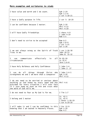# More examples and scriptures to study

 $\blacksquare$ 

| I have value and worth and I do count.                                                                                                                                                                                               | Eph $2:19$<br>Eph $1:3-6$<br>2 cor 5:18-21                 |
|--------------------------------------------------------------------------------------------------------------------------------------------------------------------------------------------------------------------------------------|------------------------------------------------------------|
| I have a Godly purpose in life.                                                                                                                                                                                                      | 2 cor 5: 18-20                                             |
| I can be confident because I matter.                                                                                                                                                                                                 | Eph $2:10$<br>Phil 4:13<br>Phil 4:19                       |
| I will have Godly friendships                                                                                                                                                                                                        | I thess 4:9<br>I john $4:19$<br>Rom 5:5                    |
| I don't need to strive to be accepted                                                                                                                                                                                                | Rom 4:5<br>Eph $2:8-9$<br>2 Cor 5:21<br>Gal 2:16           |
| I am not always wrong as the Spirit of Truth $1$ cor 1:26-30<br>lives in me.                                                                                                                                                         | John 16:13<br>John 8: 31-32                                |
| communicate effectively in all $Ps$ 81:10<br>$\mathbf I$<br>can<br>circumstances                                                                                                                                                     | Is $32:4$<br>Jere 1:6-8                                    |
| I have Holy Boldness and Holy Confidence                                                                                                                                                                                             | I John $5:4$<br>I John 2: 27                               |
| do all things through Christ who I John $5:4-5$<br>I.<br>can<br>strengthens me and I am more than a conqueror                                                                                                                        | Eph $3:20$<br>Phil 4:13                                    |
| I do not need to be worried or anxious about<br>anything as God knows my every need and has $Phi1 4:6$<br>provided for every situation I will ever face<br>if I just keep my eyes on him and trust what<br>the word of God tells me. |                                                            |
| I do not need to fear as My God is for me.                                                                                                                                                                                           | 2 Tim 1:7                                                  |
| I belong and I matter                                                                                                                                                                                                                | Is. 42:1<br>Is. $42:4$<br>I Peter 1:18-19<br>I Cor 6:19-20 |
| I will make it and I can be confident in this<br>knowing that I am seated in Heavenly Places.                                                                                                                                        | 2 Cor 12:9<br>Eph 2:10<br>Rom 4:5                          |

 $\overline{\phantom{0}}$